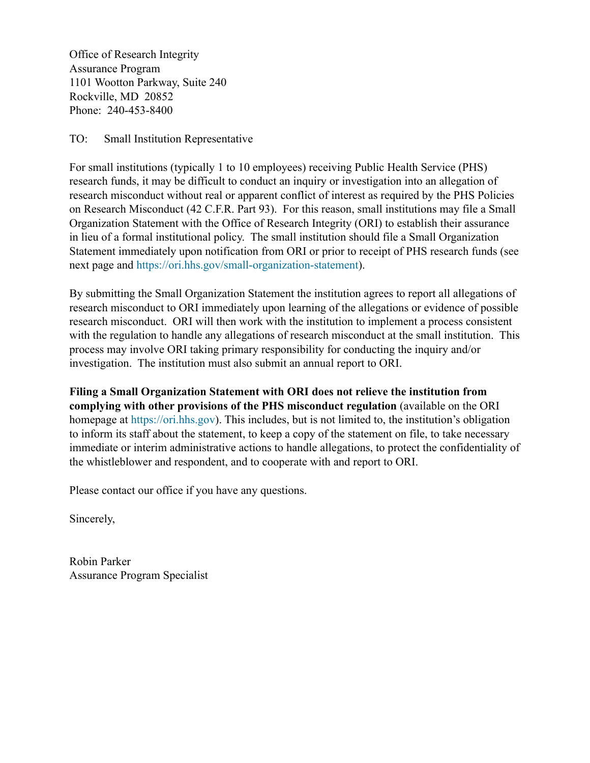Office of Research Integrity Assurance Program 1101 Wootton Parkway, Suite 240 Rockville, MD 20852 Phone: 240-453-8400

## TO: Small Institution Representative

For small institutions (typically 1 to 10 employees) receiving Public Health Service (PHS) research funds, it may be difficult to conduct an inquiry or investigation into an allegation of research misconduct without real or apparent conflict of interest as required by the PHS Policies on Research Misconduct [\(42 C.F.R. Part 93\).](https://ori.hhs.gov/statutes-regulations%22%20%5Co%20%2242%20CFR%20Part%2093) For this reason, small institutions may file a Small Organization Statement with the Office of Research Integrity (ORI) to establish their assurance in lieu of a formal institutional policy. The small institution should file a Small Organization Statement immediately upon notification from ORI or prior to receipt of PHS research funds (see next page and [https://ori.hhs.gov/small-organization-statement](%22)).

By submitting the Small Organization Statement the institution agrees to report all allegations of research misconduct to ORI immediately upon learning of the allegations or evidence of possible research misconduct. ORI will then work with the institution to implement a process consistent with the regulation to handle any allegations of research misconduct at the small institution. This process may involve ORI taking primary responsibility for conducting the inquiry and/or investigation. The institution must also submit an annual report to ORI.

**Filing a Small Organization Statement with ORI does not relieve the institution from complying with other provisions of the PHS misconduct regulation** (available on the ORI homepage at [https://ori.hhs.gov](%22)). This includes, but is not limited to, the institution's obligation to inform its staff about the statement, to keep a copy of the statement on file, to take necessary immediate or interim administrative actions to handle allegations, to protect the confidentiality of the whistleblower and respondent, and to cooperate with and report to ORI.

Please contact our office if you have any questions.

Sincerely,

Robin Parker Assurance Program Specialist